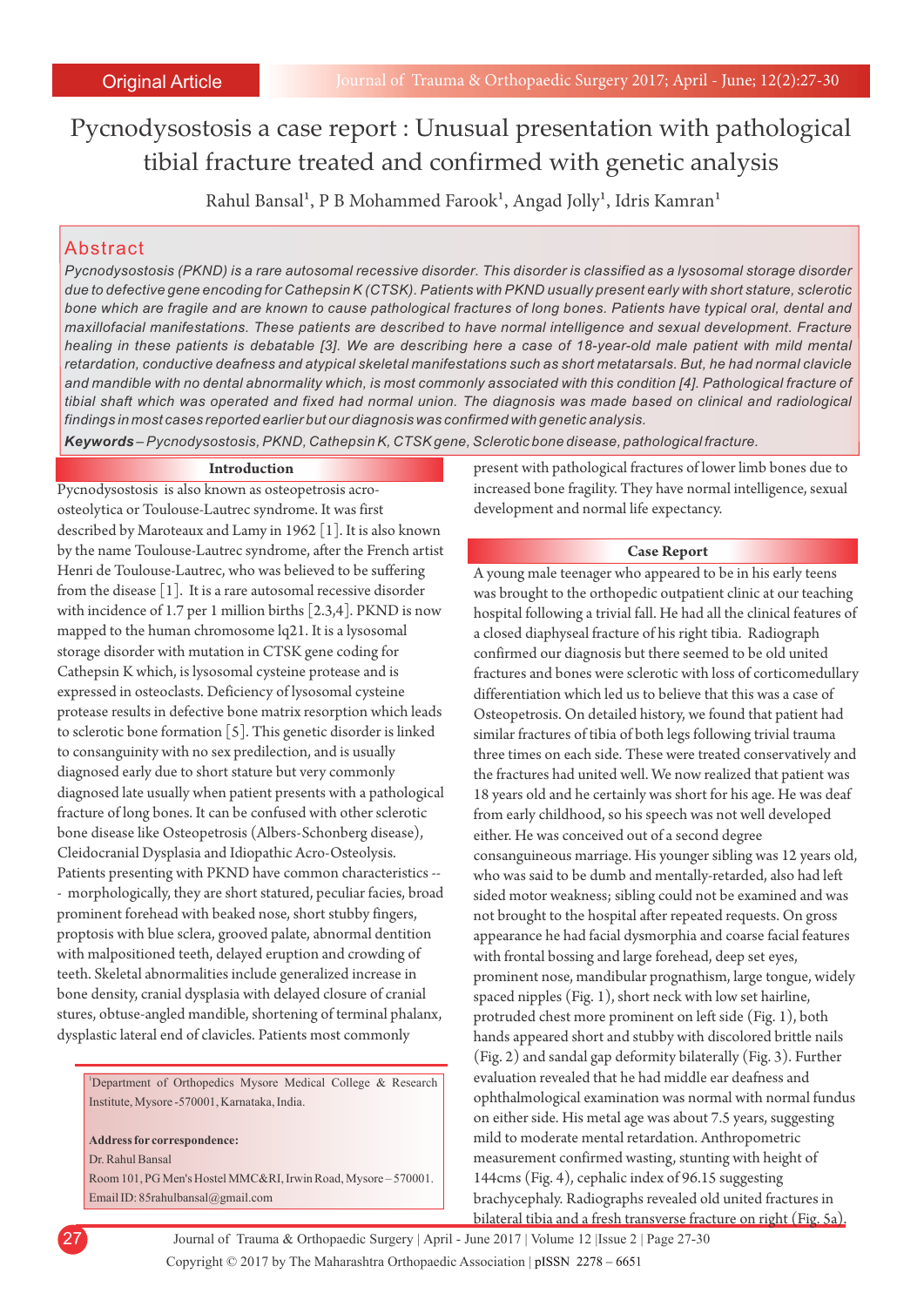Pycnodysostosis a case report : Unusual presentation with pathological tibial fracture treated and confirmed with genetic analysis

Rahul Bansal<sup>1</sup>, P B Mohammed Farook<sup>1</sup>, Angad Jolly<sup>1</sup>, Idris Kamran<sup>1</sup>

# Abstract

*Pycnodysostosis (PKND) is a rare autosomal recessive disorder. This disorder is classified as a lysosomal storage disorder due to defective gene encoding for Cathepsin K (CTSK). Patients with PKND usually present early with short stature, sclerotic bone which are fragile and are known to cause pathological fractures of long bones. Patients have typical oral, dental and maxillofacial manifestations. These patients are described to have normal intelligence and sexual development. Fracture healing in these patients is debatable [3]. We are describing here a case of 18-year-old male patient with mild mental retardation, conductive deafness and atypical skeletal manifestations such as short metatarsals. But, he had normal clavicle and mandible with no dental abnormality which, is most commonly associated with this condition [4]. Pathological fracture of tibial shaft which was operated and fixed had normal union. The diagnosis was made based on clinical and radiological findings in most cases reported earlier but our diagnosis was confirmed with genetic analysis.*

*Keywords – Pycnodysostosis, PKND, Cathepsin K, CTSK gene, Sclerotic bone disease, pathological fracture.*

## **Introduction**

Pycnodysostosis is also known as osteopetrosis acroosteolytica or Toulouse-Lautrec syndrome. It was first described by Maroteaux and Lamy in 1962 [1]. It is also known by the name Toulouse-Lautrec syndrome, after the French artist Henri de Toulouse-Lautrec, who was believed to be suffering from the disease [1]. It is a rare autosomal recessive disorder with incidence of 1.7 per 1 million births [2.3,4]. PKND is now mapped to the human chromosome lq21. It is a lysosomal storage disorder with mutation in CTSK gene coding for Cathepsin K which, is lysosomal cysteine protease and is expressed in osteoclasts. Deficiency of lysosomal cysteine protease results in defective bone matrix resorption which leads to sclerotic bone formation  $[5]$ . This genetic disorder is linked to consanguinity with no sex predilection, and is usually diagnosed early due to short stature but very commonly diagnosed late usually when patient presents with a pathological fracture of long bones. It can be confused with other sclerotic bone disease like Osteopetrosis (Albers-Schonberg disease), Cleidocranial Dysplasia and Idiopathic Acro-Osteolysis. Patients presenting with PKND have common characteristics -- - morphologically, they are short statured, peculiar facies, broad prominent forehead with beaked nose, short stubby fingers, proptosis with blue sclera, grooved palate, abnormal dentition with malpositioned teeth, delayed eruption and crowding of teeth. Skeletal abnormalities include generalized increase in bone density, cranial dysplasia with delayed closure of cranial stures, obtuse-angled mandible, shortening of terminal phalanx, dysplastic lateral end of clavicles. Patients most commonly

<sup>1</sup>Department of Orthopedics Mysore Medical College & Research Institute, Mysore -570001, Karnataka, India.

**Address for correspondence:** 

Dr. Rahul Bansal

Room 101, PG Men's Hostel MMC&RI, Irwin Road, Mysore – 570001. Email ID: 85rahulbansal@gmail.com

present with pathological fractures of lower limb bones due to increased bone fragility. They have normal intelligence, sexual development and normal life expectancy.

### **Case Report**

A young male teenager who appeared to be in his early teens was brought to the orthopedic outpatient clinic at our teaching hospital following a trivial fall. He had all the clinical features of a closed diaphyseal fracture of his right tibia. Radiograph confirmed our diagnosis but there seemed to be old united fractures and bones were sclerotic with loss of corticomedullary differentiation which led us to believe that this was a case of Osteopetrosis. On detailed history, we found that patient had similar fractures of tibia of both legs following trivial trauma three times on each side. These were treated conservatively and the fractures had united well. We now realized that patient was 18 years old and he certainly was short for his age. He was deaf from early childhood, so his speech was not well developed either. He was conceived out of a second degree consanguineous marriage. His younger sibling was 12 years old, who was said to be dumb and mentally-retarded, also had left sided motor weakness; sibling could not be examined and was not brought to the hospital after repeated requests. On gross appearance he had facial dysmorphia and coarse facial features with frontal bossing and large forehead, deep set eyes, prominent nose, mandibular prognathism, large tongue, widely spaced nipples (Fig. 1), short neck with low set hairline, protruded chest more prominent on left side (Fig. 1), both hands appeared short and stubby with discolored brittle nails (Fig. 2) and sandal gap deformity bilaterally (Fig. 3). Further evaluation revealed that he had middle ear deafness and ophthalmological examination was normal with normal fundus on either side. His metal age was about 7.5 years, suggesting mild to moderate mental retardation. Anthropometric measurement confirmed wasting, stunting with height of 144cms (Fig. 4), cephalic index of 96.15 suggesting brachycephaly. Radiographs revealed old united fractures in bilateral tibia and a fresh transverse fracture on right (Fig. 5a).

Copyright © 2017 by The Maharashtra Orthopaedic Association | 27 Journal of Trauma & Orthopaedic Surgery | April - June 2017 | Volume 12 |Issue 2 | Page 27-30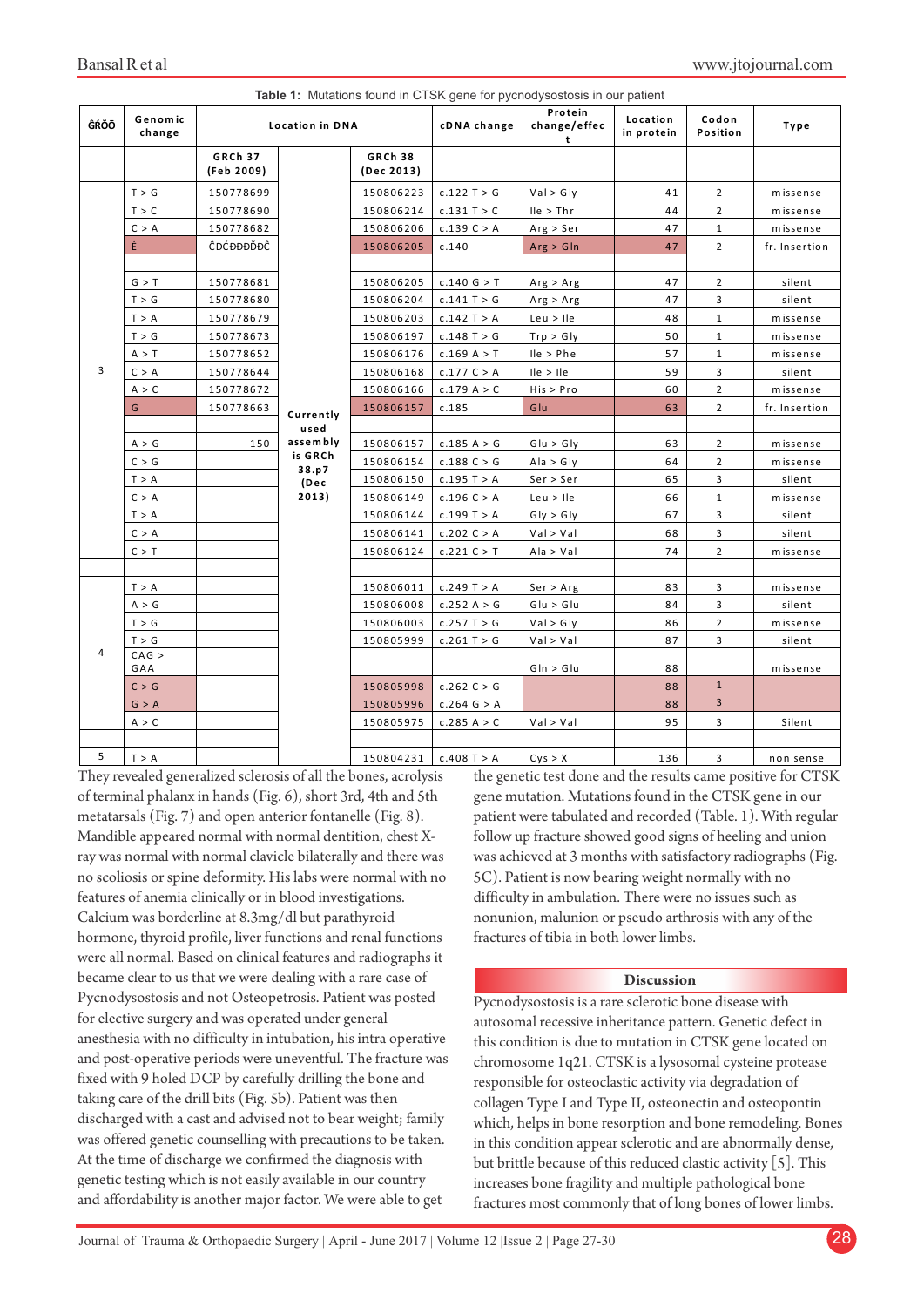| Table 1: Mutations found in CTSK gene for pycnodysostosis in our patient |                   |                              |                                                                    |                              |               |                              |                        |                   |               |
|--------------------------------------------------------------------------|-------------------|------------------------------|--------------------------------------------------------------------|------------------------------|---------------|------------------------------|------------------------|-------------------|---------------|
| ĜŔŎŌ                                                                     | Genomic<br>change |                              | <b>Location in DNA</b>                                             |                              | cDNA change   | Protein<br>change/effec<br>t | Location<br>in protein | Codon<br>Position | Type          |
|                                                                          |                   | <b>GRCh 37</b><br>(Feb 2009) |                                                                    | <b>GRCh 38</b><br>(Dec 2013) |               |                              |                        |                   |               |
| 3                                                                        | T > G             | 150778699                    | Currently<br>used<br>assembly<br>is GRCh<br>38.p7<br>(Dec<br>2013) | 150806223                    | c.122 T > G   | Val > Gly                    | 41                     | $\overline{2}$    | missense      |
|                                                                          | T > C             | 150778690                    |                                                                    | 150806214                    | c.131 T > C   | $lle$ > Thr                  | 44                     | $\overline{2}$    | missense      |
|                                                                          | C > A             | 150778682                    |                                                                    | 150806206                    | c.139 C > A   | Arg > Ser                    | 47                     | $\mathbf{1}$      | missense      |
|                                                                          | Ė                 | ĈDĆĐĐĐĎĐĈ                    |                                                                    | 150806205                    | c.140         | Arg > GIn                    | 47                     | $\overline{2}$    | fr. Insertion |
|                                                                          |                   |                              |                                                                    |                              |               |                              |                        |                   |               |
|                                                                          | G > T             | 150778681                    |                                                                    | 150806205                    | c.140 G > T   | Arg > Arg                    | 47                     | $\overline{2}$    | silent        |
|                                                                          | T > G             | 150778680                    |                                                                    | 150806204                    | c.141 T > G   | Arg > Arg                    | 47                     | 3                 | silent        |
|                                                                          | T > A             | 150778679                    |                                                                    | 150806203                    | c.142 T > A   | Leu > He                     | 48                     | $\mathbf{1}$      | missense      |
|                                                                          | T > G             | 150778673                    |                                                                    | 150806197                    | $c.148$ T > G | Trp > Gly                    | 50                     | $\mathbf{1}$      | missense      |
|                                                                          | A > T             | 150778652                    |                                                                    | 150806176                    | c.169 A > T   | $lle$ > $Phe$                | 57                     | $\mathbf{1}$      | missense      |
|                                                                          | C > A             | 150778644                    |                                                                    | 150806168                    | c.177 C > A   | lle > lle                    | 59                     | 3                 | silent        |
|                                                                          | A > C             | 150778672                    |                                                                    | 150806166                    | c.179 A > C   | His > Pro                    | 60                     | $\overline{2}$    | missense      |
|                                                                          | G                 | 150778663                    |                                                                    | 150806157                    | c.185         | Glu                          | 63                     | $\overline{2}$    | fr. Insertion |
|                                                                          |                   |                              |                                                                    |                              |               |                              |                        |                   |               |
|                                                                          | A > G             | 150                          |                                                                    | 150806157                    | c.185 A > G   | G u > G v                    | 63                     | $\overline{2}$    | missense      |
|                                                                          | C > G             |                              |                                                                    | 150806154                    | c.188 C > G   | Ala > Gly                    | 64                     | $\overline{2}$    | missense      |
|                                                                          | T > A             |                              |                                                                    | 150806150                    | c.195 T > A   | Ser > Ser                    | 65                     | 3                 | silent        |
|                                                                          | C > A             |                              |                                                                    | 150806149                    | c.196 C > A   | Leu > He                     | 66                     | $\mathbf{1}$      | missense      |
|                                                                          | T > A             |                              |                                                                    | 150806144                    | c.199 T > A   | Gly > Gly                    | 67                     | 3                 | silent        |
|                                                                          | C > A             |                              |                                                                    | 150806141                    | c.202 C > A   | Val > Val                    | 68                     | 3                 | silent        |
|                                                                          | C > T             |                              |                                                                    | 150806124                    | c.221 C > T   | Ala > Val                    | 74                     | $\overline{2}$    | missense      |
|                                                                          |                   |                              |                                                                    |                              |               |                              |                        |                   |               |
| 4                                                                        | T > A             |                              |                                                                    | 150806011                    | c.249 T > A   | Ser > Arg                    | 83                     | 3                 | missense      |
|                                                                          | A > G             |                              |                                                                    | 150806008                    | c.252 A > G   | G u > G u                    | 84                     | 3                 | silent        |
|                                                                          | T > G             |                              |                                                                    | 150806003                    | c.257T > G    | Val > Gly                    | 86                     | $\overline{2}$    | missense      |
|                                                                          | T > G             |                              |                                                                    | 150805999                    | c.261 T > G   | Val > Val                    | 87                     | 3                 | silent        |
|                                                                          | CAG >             |                              |                                                                    |                              |               |                              |                        |                   |               |
|                                                                          | GAA               |                              |                                                                    |                              |               | $G \ln > G \ln$              | 88                     | $\mathbf{1}$      | missense      |
|                                                                          | C > G             |                              |                                                                    | 150805998                    | c.262C > G    |                              | 88                     | $\overline{3}$    |               |
|                                                                          | G > A             |                              |                                                                    | 150805996                    | c.264 G > A   |                              | 88                     |                   |               |
|                                                                          | A > C             |                              |                                                                    | 150805975                    | c.285 A > C   | Val > Val                    | 95                     | 3                 | Silent        |
| 5                                                                        | T > A             |                              |                                                                    | 150804231                    | $c.408$ T > A | Cys > X                      | 136                    | 3                 | non sense     |

They revealed generalized sclerosis of all the bones, acrolysis of terminal phalanx in hands (Fig. 6), short 3rd, 4th and 5th metatarsals (Fig. 7) and open anterior fontanelle (Fig. 8). Mandible appeared normal with normal dentition, chest Xray was normal with normal clavicle bilaterally and there was no scoliosis or spine deformity. His labs were normal with no features of anemia clinically or in blood investigations. Calcium was borderline at 8.3mg/dl but parathyroid hormone, thyroid profile, liver functions and renal functions were all normal. Based on clinical features and radiographs it became clear to us that we were dealing with a rare case of Pycnodysostosis and not Osteopetrosis. Patient was posted for elective surgery and was operated under general anesthesia with no difficulty in intubation, his intra operative and post-operative periods were uneventful. The fracture was fixed with 9 holed DCP by carefully drilling the bone and taking care of the drill bits (Fig. 5b). Patient was then discharged with a cast and advised not to bear weight; family was offered genetic counselling with precautions to be taken. At the time of discharge we confirmed the diagnosis with genetic testing which is not easily available in our country and affordability is another major factor. We were able to get

the genetic test done and the results came positive for CTSK gene mutation. Mutations found in the CTSK gene in our patient were tabulated and recorded (Table. 1). With regular follow up fracture showed good signs of heeling and union was achieved at 3 months with satisfactory radiographs (Fig. 5C). Patient is now bearing weight normally with no difficulty in ambulation. There were no issues such as nonunion, malunion or pseudo arthrosis with any of the fractures of tibia in both lower limbs.

## **Discussion**

Pycnodysostosis is a rare sclerotic bone disease with autosomal recessive inheritance pattern. Genetic defect in this condition is due to mutation in CTSK gene located on chromosome 1q21. CTSK is a lysosomal cysteine protease responsible for osteoclastic activity via degradation of collagen Type I and Type II, osteonectin and osteopontin which, helps in bone resorption and bone remodeling. Bones in this condition appear sclerotic and are abnormally dense, but brittle because of this reduced clastic activity [5]. This increases bone fragility and multiple pathological bone fractures most commonly that of long bones of lower limbs.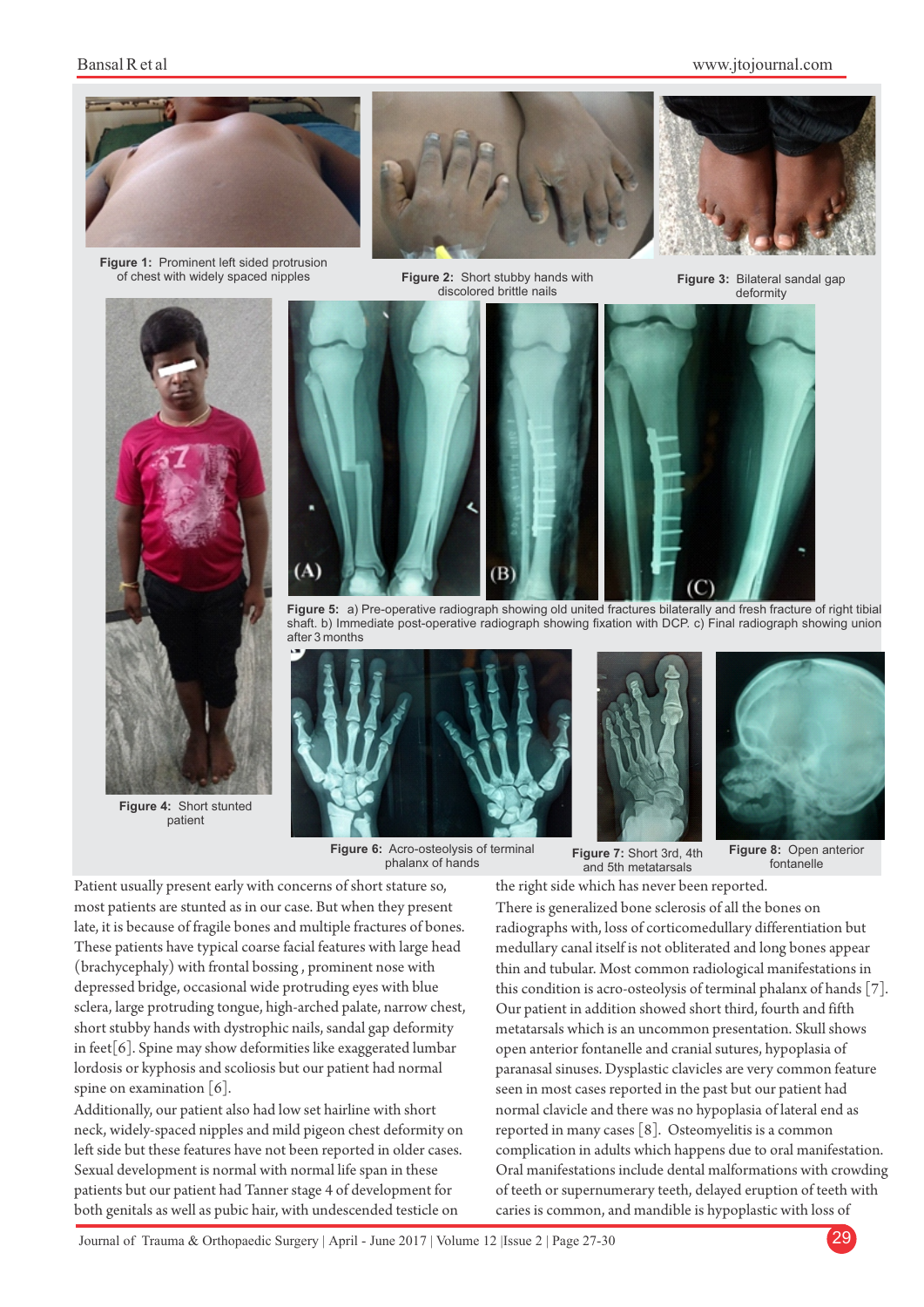## www.jtojournal.com



**Figure 1:** Prominent left sided protrusion of chest with widely spaced nipples



Figure 2: Short stubby hands with discolored brittle nails



**Figure 3:** Bilateral sandal gap deformity



**Figure 4:** Short stunted patient



**Figure 5:** a) Pre-operative radiograph showing old united fractures bilaterally and fresh fracture of right tibial shaft. b) Immediate post-operative radiograph showing fixation with DCP. c) Final radiograph showing union after 3 months



**Figure 6:** Acro-osteolysis of terminal phalanx of hands





**Figure 7:** Short 3rd, 4th and 5th metatarsals

**Figure 8:** Open anterior fontanelle

Patient usually present early with concerns of short stature so, most patients are stunted as in our case. But when they present late, it is because of fragile bones and multiple fractures of bones. These patients have typical coarse facial features with large head (brachycephaly) with frontal bossing , prominent nose with depressed bridge, occasional wide protruding eyes with blue sclera, large protruding tongue, high-arched palate, narrow chest, short stubby hands with dystrophic nails, sandal gap deformity in feet[6]. Spine may show deformities like exaggerated lumbar lordosis or kyphosis and scoliosis but our patient had normal spine on examination  $[6]$ .

Additionally, our patient also had low set hairline with short neck, widely-spaced nipples and mild pigeon chest deformity on left side but these features have not been reported in older cases. Sexual development is normal with normal life span in these patients but our patient had Tanner stage 4 of development for both genitals as well as pubic hair, with undescended testicle on

the right side which has never been reported. There is generalized bone sclerosis of all the bones on radiographs with, loss of corticomedullary differentiation but medullary canal itself is not obliterated and long bones appear thin and tubular. Most common radiological manifestations in this condition is acro-osteolysis of terminal phalanx of hands [7]. Our patient in addition showed short third, fourth and fifth metatarsals which is an uncommon presentation. Skull shows open anterior fontanelle and cranial sutures, hypoplasia of paranasal sinuses. Dysplastic clavicles are very common feature seen in most cases reported in the past but our patient had normal clavicle and there was no hypoplasia of lateral end as reported in many cases [8]. Osteomyelitis is a common complication in adults which happens due to oral manifestation. Oral manifestations include dental malformations with crowding of teeth or supernumerary teeth, delayed eruption of teeth with caries is common, and mandible is hypoplastic with loss of